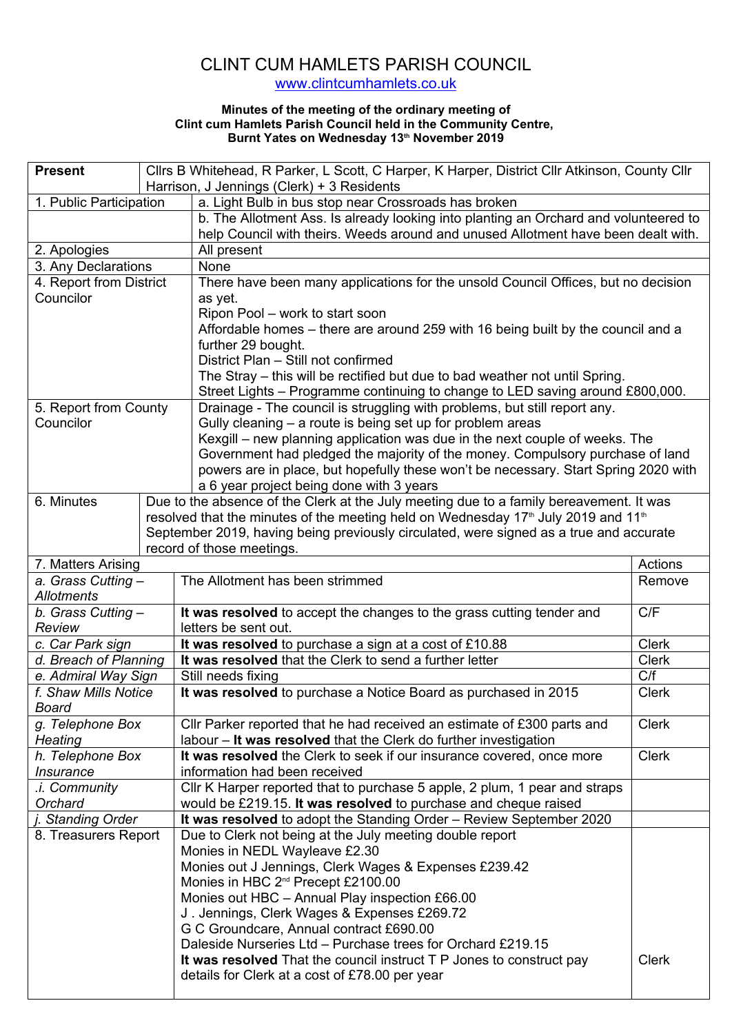## CLINT CUM HAMLETS PARISH COUNCIL www.clintcumhamlets.co.uk

## **Minutes of the meeting of the ordinary meeting of Clint cum Hamlets Parish Council held in the Community Centre, Burnt Yates on Wednesday 13th November 2019**

| Cllrs B Whitehead, R Parker, L Scott, C Harper, K Harper, District Cllr Atkinson, County Cllr<br><b>Present</b> |                                                                                                            |                                                                                         |              |  |
|-----------------------------------------------------------------------------------------------------------------|------------------------------------------------------------------------------------------------------------|-----------------------------------------------------------------------------------------|--------------|--|
|                                                                                                                 |                                                                                                            | Harrison, J Jennings (Clerk) + 3 Residents                                              |              |  |
| 1. Public Participation                                                                                         |                                                                                                            | a. Light Bulb in bus stop near Crossroads has broken                                    |              |  |
|                                                                                                                 |                                                                                                            | b. The Allotment Ass. Is already looking into planting an Orchard and volunteered to    |              |  |
|                                                                                                                 |                                                                                                            | help Council with theirs. Weeds around and unused Allotment have been dealt with.       |              |  |
| 2. Apologies                                                                                                    |                                                                                                            | All present                                                                             |              |  |
| 3. Any Declarations                                                                                             |                                                                                                            | None                                                                                    |              |  |
| 4. Report from District                                                                                         |                                                                                                            | There have been many applications for the unsold Council Offices, but no decision       |              |  |
| Councilor                                                                                                       |                                                                                                            | as yet.                                                                                 |              |  |
|                                                                                                                 |                                                                                                            | Ripon Pool - work to start soon                                                         |              |  |
|                                                                                                                 |                                                                                                            | Affordable homes – there are around 259 with 16 being built by the council and a        |              |  |
|                                                                                                                 |                                                                                                            | further 29 bought.                                                                      |              |  |
|                                                                                                                 |                                                                                                            | District Plan - Still not confirmed                                                     |              |  |
|                                                                                                                 |                                                                                                            | The Stray – this will be rectified but due to bad weather not until Spring.             |              |  |
|                                                                                                                 |                                                                                                            | Street Lights - Programme continuing to change to LED saving around £800,000.           |              |  |
| 5. Report from County                                                                                           |                                                                                                            | Drainage - The council is struggling with problems, but still report any.               |              |  |
| Councilor                                                                                                       |                                                                                                            | Gully cleaning - a route is being set up for problem areas                              |              |  |
|                                                                                                                 |                                                                                                            | Kexgill – new planning application was due in the next couple of weeks. The             |              |  |
|                                                                                                                 |                                                                                                            | Government had pledged the majority of the money. Compulsory purchase of land           |              |  |
|                                                                                                                 |                                                                                                            | powers are in place, but hopefully these won't be necessary. Start Spring 2020 with     |              |  |
|                                                                                                                 |                                                                                                            | a 6 year project being done with 3 years                                                |              |  |
| 6. Minutes                                                                                                      |                                                                                                            | Due to the absence of the Clerk at the July meeting due to a family bereavement. It was |              |  |
|                                                                                                                 | resolved that the minutes of the meeting held on Wednesday 17 <sup>th</sup> July 2019 and 11 <sup>th</sup> |                                                                                         |              |  |
|                                                                                                                 |                                                                                                            | September 2019, having being previously circulated, were signed as a true and accurate  |              |  |
|                                                                                                                 |                                                                                                            | record of those meetings.                                                               |              |  |
| 7. Matters Arising                                                                                              |                                                                                                            |                                                                                         | Actions      |  |
| a. Grass Cutting -                                                                                              |                                                                                                            | The Allotment has been strimmed                                                         | Remove       |  |
| <b>Allotments</b>                                                                                               |                                                                                                            |                                                                                         |              |  |
| b. Grass Cutting -                                                                                              |                                                                                                            | It was resolved to accept the changes to the grass cutting tender and                   | C/F          |  |
| Review                                                                                                          |                                                                                                            | letters be sent out.                                                                    |              |  |
| c. Car Park sign                                                                                                |                                                                                                            | It was resolved to purchase a sign at a cost of £10.88                                  | <b>Clerk</b> |  |
| d. Breach of Planning                                                                                           |                                                                                                            | It was resolved that the Clerk to send a further letter                                 | <b>Clerk</b> |  |
| e. Admiral Way Sign                                                                                             |                                                                                                            | Still needs fixing                                                                      | C/f          |  |
| f. Shaw Mills Notice                                                                                            |                                                                                                            | It was resolved to purchase a Notice Board as purchased in 2015                         | <b>Clerk</b> |  |
| Board                                                                                                           |                                                                                                            |                                                                                         |              |  |
| g. Telephone Box                                                                                                |                                                                                                            | CIIr Parker reported that he had received an estimate of £300 parts and                 | <b>Clerk</b> |  |
| <b>Heating</b>                                                                                                  |                                                                                                            | labour - It was resolved that the Clerk do further investigation                        |              |  |
| h. Telephone Box                                                                                                |                                                                                                            | It was resolved the Clerk to seek if our insurance covered, once more                   | <b>Clerk</b> |  |
| <i><b>Insurance</b></i>                                                                                         |                                                                                                            | information had been received                                                           |              |  |
| .i. Community                                                                                                   |                                                                                                            | Cllr K Harper reported that to purchase 5 apple, 2 plum, 1 pear and straps              |              |  |
| Orchard                                                                                                         |                                                                                                            | would be £219.15. It was resolved to purchase and cheque raised                         |              |  |
| <b>Standing Order</b>                                                                                           |                                                                                                            | It was resolved to adopt the Standing Order - Review September 2020                     |              |  |
| 8. Treasurers Report                                                                                            |                                                                                                            | Due to Clerk not being at the July meeting double report                                |              |  |
|                                                                                                                 |                                                                                                            | Monies in NEDL Wayleave £2.30                                                           |              |  |
|                                                                                                                 |                                                                                                            | Monies out J Jennings, Clerk Wages & Expenses £239.42                                   |              |  |
|                                                                                                                 |                                                                                                            | Monies in HBC 2 <sup>nd</sup> Precept £2100.00                                          |              |  |
|                                                                                                                 |                                                                                                            | Monies out HBC - Annual Play inspection £66.00                                          |              |  |
|                                                                                                                 |                                                                                                            | J. Jennings, Clerk Wages & Expenses £269.72                                             |              |  |
|                                                                                                                 |                                                                                                            | G C Groundcare, Annual contract £690.00                                                 |              |  |
|                                                                                                                 |                                                                                                            | Daleside Nurseries Ltd - Purchase trees for Orchard £219.15                             |              |  |
|                                                                                                                 |                                                                                                            | It was resolved That the council instruct T P Jones to construct pay                    | <b>Clerk</b> |  |
|                                                                                                                 |                                                                                                            | details for Clerk at a cost of £78.00 per year                                          |              |  |
|                                                                                                                 |                                                                                                            |                                                                                         |              |  |